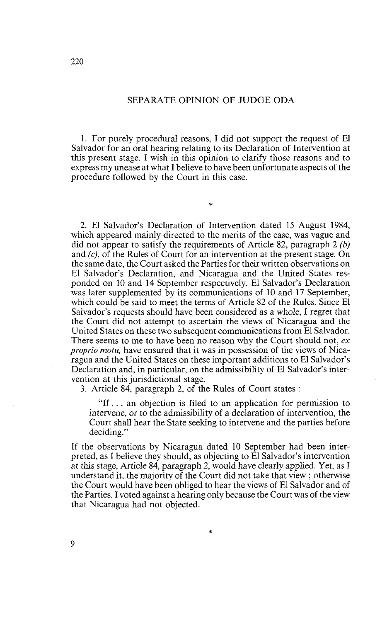## SEPARATE OPINION OF JUDGE ODA

1. For purely procedural reasons, 1 did not support the request of El Salvador for an oral hearing relating to its Declaration of Intervention at this present stage. 1 wish in this opinion to clarify those reasons and to express my unease at what 1 believe to have been unfortunate aspects of the procedure followed by the Court in this case.

.<br>\*

2. El Salvador's Declaration of Intervention dated 15 August 1984, which appeared mainly directed to the merits of the case, was vague and did not appear to satisfy the requirements of Article 82, paragraph 2  $(b)$ and (c), of the Rules of Court for an intervention at the present stage. On the same date, the Court asked the Parties for their written observations on El Salvador's Declaration, and Nicaragua and the United States responded on 10 and 14 September respectively. El Salvador's Declaration was later supplemented by its communications of 10 and 17 September, which could be said to meet the terms of Article 82 of the Rules. Since El Salvador's requests should have been considered as a whole, **I** regret that the Court did not attempt to ascertain the views of Nicaragua and the United States on these two subsequent communications from El Salvador. There seems to me to have been no reason why the Court should not, ex *proprio motu,* have ensured that it was in possession of the views of Nicaragua and the United States on these important additions to El Salvador's Declaration and, in particular, on the adrnissibility of El Salvador's intervention at this jurisdictional stage.

3. Article 84, paragraph 2, of the Rules of Court States :

"If . . . an objection is filed to an application for permission to intervene, or to the admissibility of a declaration of intervention, the Court shall hear the State seeking to intervene and the parties before deciding."

If the observations by Nicaragua dated 10 September had been interpreted, as 1 believe they should, as objecting to El Salvador's intervention at this stage, Article 84, paragraph 2, would have clearly applied. Yet, as 1 understand it, the majority of the Court did not take that view ; othenvise the Court would have been obliged to hear the views of El Salvador and of the Parties. 1 voted against a hearing only because the Court was of the view that Nicaragua had not objected.